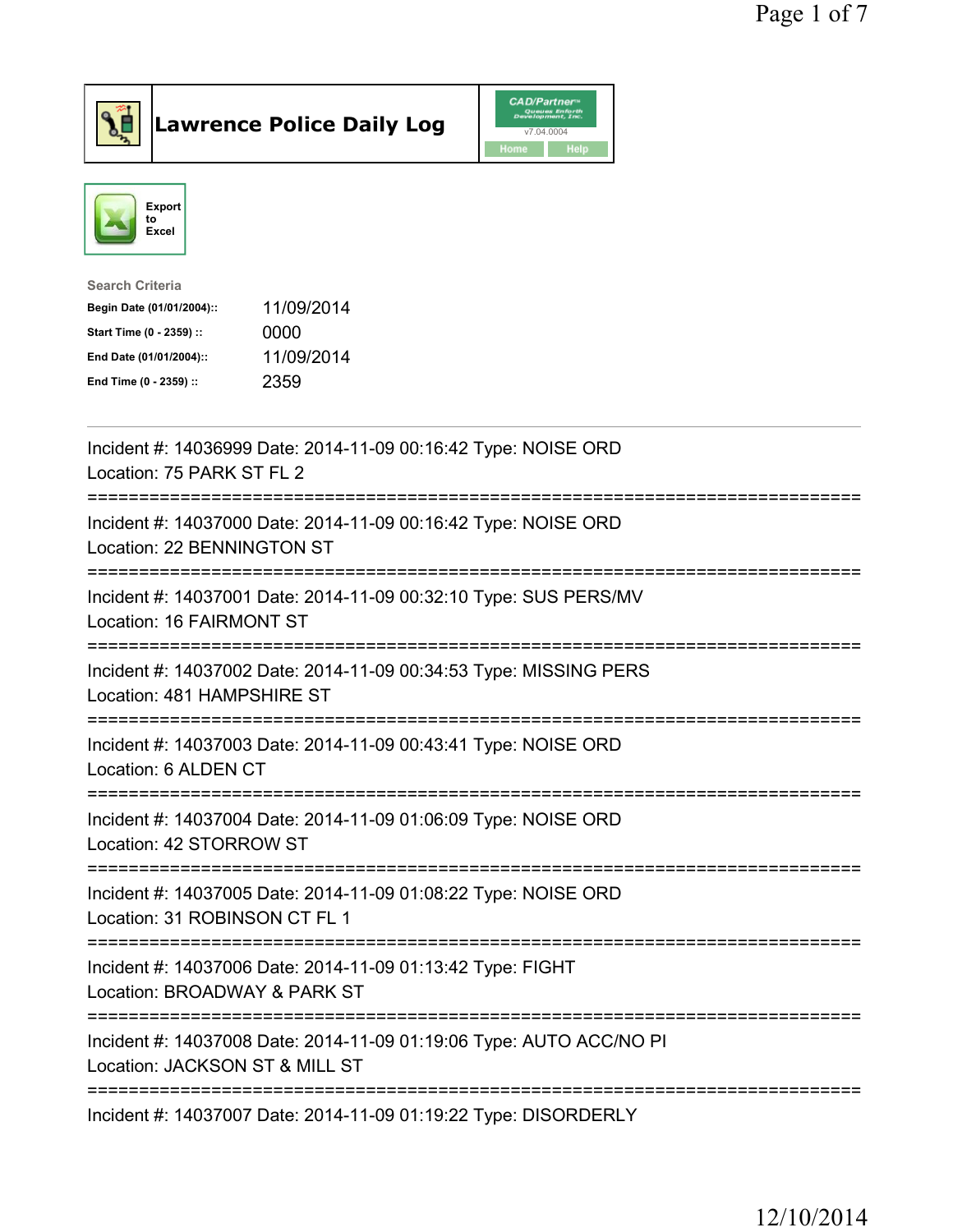



| <b>Search Criteria</b>    |            |
|---------------------------|------------|
| Begin Date (01/01/2004):: | 11/09/2014 |
| Start Time (0 - 2359) ::  | 0000       |
| End Date (01/01/2004)::   | 11/09/2014 |
| End Time (0 - 2359) ::    | 2359       |
|                           |            |

| Incident #: 14036999 Date: 2014-11-09 00:16:42 Type: NOISE ORD<br>Location: 75 PARK ST FL 2           |
|-------------------------------------------------------------------------------------------------------|
| Incident #: 14037000 Date: 2014-11-09 00:16:42 Type: NOISE ORD<br>Location: 22 BENNINGTON ST          |
| Incident #: 14037001 Date: 2014-11-09 00:32:10 Type: SUS PERS/MV<br>Location: 16 FAIRMONT ST          |
| Incident #: 14037002 Date: 2014-11-09 00:34:53 Type: MISSING PERS<br>Location: 481 HAMPSHIRE ST       |
| Incident #: 14037003 Date: 2014-11-09 00:43:41 Type: NOISE ORD<br>Location: 6 ALDEN CT                |
| Incident #: 14037004 Date: 2014-11-09 01:06:09 Type: NOISE ORD<br>Location: 42 STORROW ST             |
| Incident #: 14037005 Date: 2014-11-09 01:08:22 Type: NOISE ORD<br>Location: 31 ROBINSON CT FL 1       |
| Incident #: 14037006 Date: 2014-11-09 01:13:42 Type: FIGHT<br>Location: BROADWAY & PARK ST            |
| Incident #: 14037008 Date: 2014-11-09 01:19:06 Type: AUTO ACC/NO PI<br>Location: JACKSON ST & MILL ST |
| Incident #: 14037007 Date: 2014-11-09 01:19:22 Type: DISORDERLY                                       |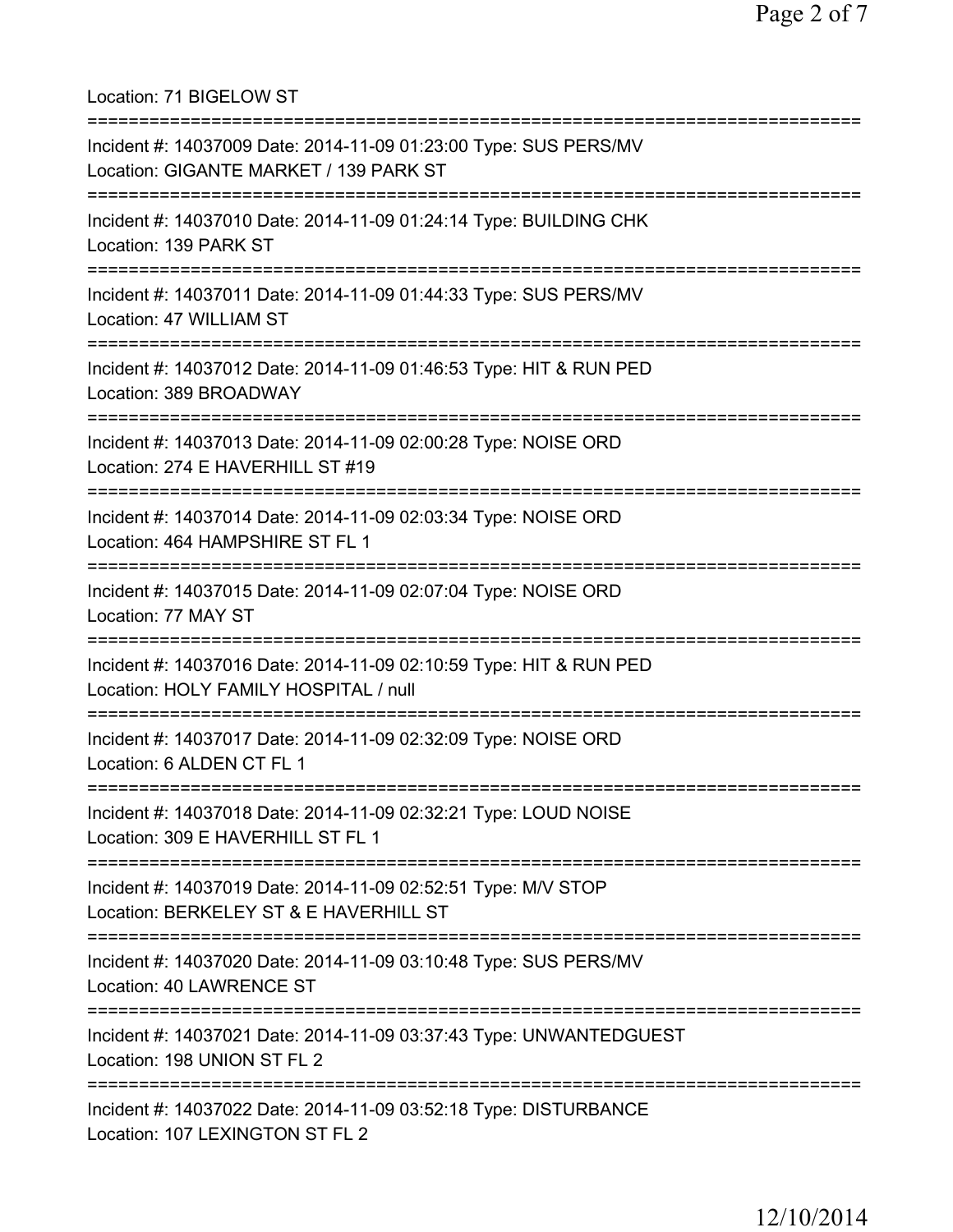Location: 71 BIGELOW ST =========================================================================== Incident #: 14037009 Date: 2014-11-09 01:23:00 Type: SUS PERS/MV Location: GIGANTE MARKET / 139 PARK ST =========================================================================== Incident #: 14037010 Date: 2014-11-09 01:24:14 Type: BUILDING CHK Location: 139 PARK ST =========================================================================== Incident #: 14037011 Date: 2014-11-09 01:44:33 Type: SUS PERS/MV Location: 47 WILLIAM ST =========================================================================== Incident #: 14037012 Date: 2014-11-09 01:46:53 Type: HIT & RUN PED Location: 389 BROADWAY =========================================================================== Incident #: 14037013 Date: 2014-11-09 02:00:28 Type: NOISE ORD Location: 274 E HAVERHILL ST #19 =========================================================================== Incident #: 14037014 Date: 2014-11-09 02:03:34 Type: NOISE ORD Location: 464 HAMPSHIRE ST FL 1 =========================================================================== Incident #: 14037015 Date: 2014-11-09 02:07:04 Type: NOISE ORD Location: 77 MAY ST =========================================================================== Incident #: 14037016 Date: 2014-11-09 02:10:59 Type: HIT & RUN PED Location: HOLY FAMILY HOSPITAL / null =========================================================================== Incident #: 14037017 Date: 2014-11-09 02:32:09 Type: NOISE ORD Location: 6 ALDEN CT FL 1 =========================================================================== Incident #: 14037018 Date: 2014-11-09 02:32:21 Type: LOUD NOISE Location: 309 E HAVERHILL ST FL 1 =========================================================================== Incident #: 14037019 Date: 2014-11-09 02:52:51 Type: M/V STOP Location: BERKELEY ST & E HAVERHILL ST =========================================================================== Incident #: 14037020 Date: 2014-11-09 03:10:48 Type: SUS PERS/MV Location: 40 LAWRENCE ST =========================================================================== Incident #: 14037021 Date: 2014-11-09 03:37:43 Type: UNWANTEDGUEST Location: 198 UNION ST FL 2 =========================================================================== Incident #: 14037022 Date: 2014-11-09 03:52:18 Type: DISTURBANCE Location: 107 LEXINGTON ST FL 2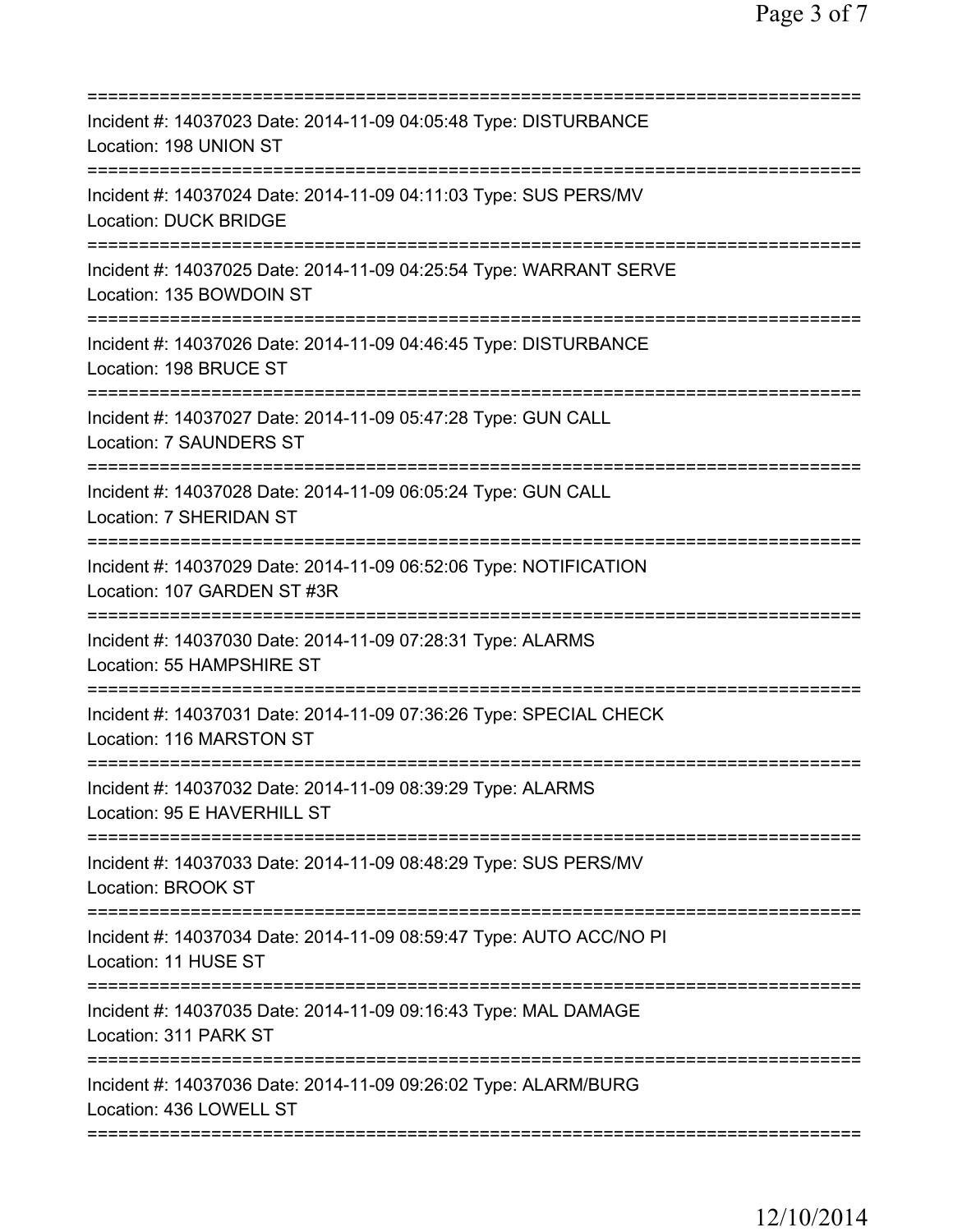| Incident #: 14037023 Date: 2014-11-09 04:05:48 Type: DISTURBANCE<br>Location: 198 UNION ST                            |
|-----------------------------------------------------------------------------------------------------------------------|
| Incident #: 14037024 Date: 2014-11-09 04:11:03 Type: SUS PERS/MV<br><b>Location: DUCK BRIDGE</b>                      |
| Incident #: 14037025 Date: 2014-11-09 04:25:54 Type: WARRANT SERVE<br>Location: 135 BOWDOIN ST                        |
| Incident #: 14037026 Date: 2014-11-09 04:46:45 Type: DISTURBANCE<br>Location: 198 BRUCE ST                            |
| Incident #: 14037027 Date: 2014-11-09 05:47:28 Type: GUN CALL<br>Location: 7 SAUNDERS ST                              |
| Incident #: 14037028 Date: 2014-11-09 06:05:24 Type: GUN CALL<br>Location: 7 SHERIDAN ST                              |
| Incident #: 14037029 Date: 2014-11-09 06:52:06 Type: NOTIFICATION<br>Location: 107 GARDEN ST #3R                      |
| Incident #: 14037030 Date: 2014-11-09 07:28:31 Type: ALARMS<br>Location: 55 HAMPSHIRE ST                              |
| Incident #: 14037031 Date: 2014-11-09 07:36:26 Type: SPECIAL CHECK<br>Location: 116 MARSTON ST                        |
| Incident #: 14037032 Date: 2014-11-09 08:39:29 Type: ALARMS<br>Location: 95 E HAVERHILL ST                            |
| ====================<br>Incident #: 14037033 Date: 2014-11-09 08:48:29 Type: SUS PERS/MV<br><b>Location: BROOK ST</b> |
| Incident #: 14037034 Date: 2014-11-09 08:59:47 Type: AUTO ACC/NO PI<br>Location: 11 HUSE ST                           |
| Incident #: 14037035 Date: 2014-11-09 09:16:43 Type: MAL DAMAGE<br>Location: 311 PARK ST                              |
| Incident #: 14037036 Date: 2014-11-09 09:26:02 Type: ALARM/BURG<br>Location: 436 LOWELL ST                            |
|                                                                                                                       |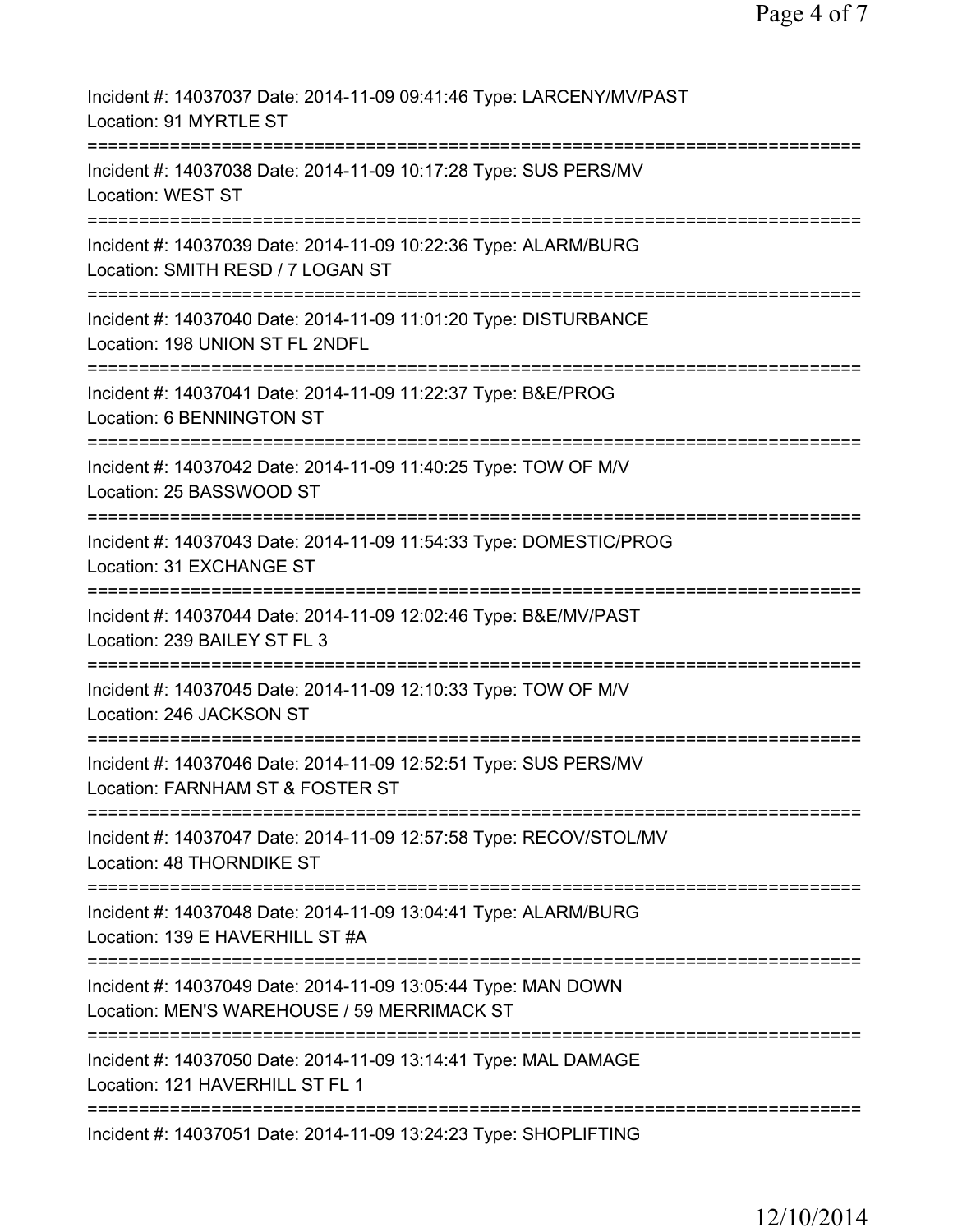| Incident #: 14037037 Date: 2014-11-09 09:41:46 Type: LARCENY/MV/PAST<br>Location: 91 MYRTLE ST                                             |
|--------------------------------------------------------------------------------------------------------------------------------------------|
| Incident #: 14037038 Date: 2014-11-09 10:17:28 Type: SUS PERS/MV<br><b>Location: WEST ST</b>                                               |
| Incident #: 14037039 Date: 2014-11-09 10:22:36 Type: ALARM/BURG<br>Location: SMITH RESD / 7 LOGAN ST                                       |
| Incident #: 14037040 Date: 2014-11-09 11:01:20 Type: DISTURBANCE<br>Location: 198 UNION ST FL 2NDFL                                        |
| Incident #: 14037041 Date: 2014-11-09 11:22:37 Type: B&E/PROG<br>Location: 6 BENNINGTON ST                                                 |
| Incident #: 14037042 Date: 2014-11-09 11:40:25 Type: TOW OF M/V<br>Location: 25 BASSWOOD ST                                                |
| Incident #: 14037043 Date: 2014-11-09 11:54:33 Type: DOMESTIC/PROG<br>Location: 31 EXCHANGE ST                                             |
| Incident #: 14037044 Date: 2014-11-09 12:02:46 Type: B&E/MV/PAST<br>Location: 239 BAILEY ST FL 3                                           |
| Incident #: 14037045 Date: 2014-11-09 12:10:33 Type: TOW OF M/V<br>Location: 246 JACKSON ST                                                |
| Incident #: 14037046 Date: 2014-11-09 12:52:51 Type: SUS PERS/MV<br>Location: FARNHAM ST & FOSTER ST                                       |
| Incident #: 14037047 Date: 2014-11-09 12:57:58 Type: RECOV/STOL/MV<br>Location: 48 THORNDIKE ST                                            |
| Incident #: 14037048 Date: 2014-11-09 13:04:41 Type: ALARM/BURG<br>Location: 139 E HAVERHILL ST #A                                         |
| ==========================<br>Incident #: 14037049 Date: 2014-11-09 13:05:44 Type: MAN DOWN<br>Location: MEN'S WAREHOUSE / 59 MERRIMACK ST |
| ==================================<br>Incident #: 14037050 Date: 2014-11-09 13:14:41 Type: MAL DAMAGE<br>Location: 121 HAVERHILL ST FL 1   |
| Incident #: 14037051 Date: 2014-11-09 13:24:23 Type: SHOPLIFTING                                                                           |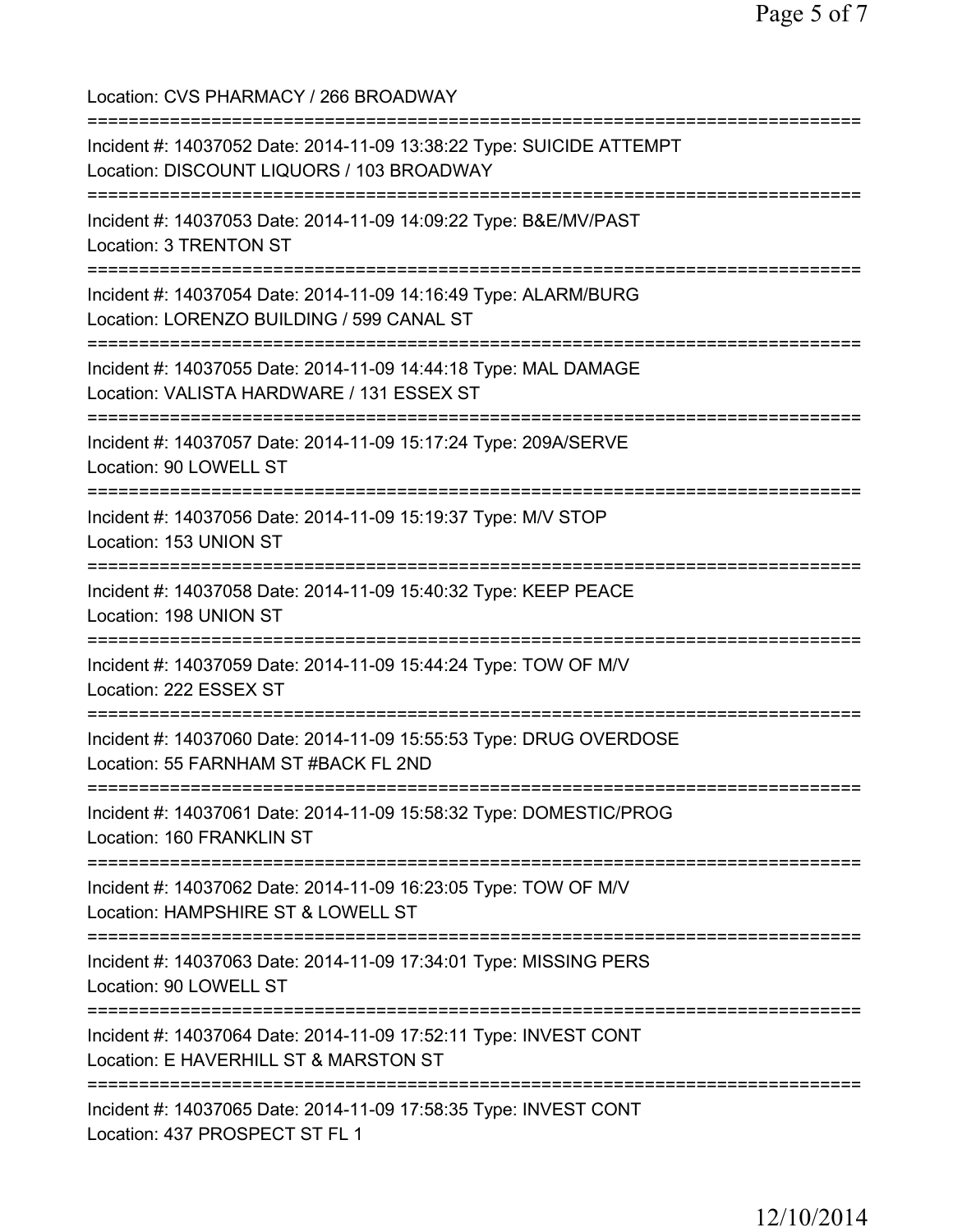Location: CVS PHARMACY / 266 BROADWAY =========================================================================== Incident #: 14037052 Date: 2014-11-09 13:38:22 Type: SUICIDE ATTEMPT Location: DISCOUNT LIQUORS / 103 BROADWAY =========================================================================== Incident #: 14037053 Date: 2014-11-09 14:09:22 Type: B&E/MV/PAST Location: 3 TRENTON ST =========================================================================== Incident #: 14037054 Date: 2014-11-09 14:16:49 Type: ALARM/BURG Location: LORENZO BUILDING / 599 CANAL ST =========================================================================== Incident #: 14037055 Date: 2014-11-09 14:44:18 Type: MAL DAMAGE Location: VALISTA HARDWARE / 131 ESSEX ST =========================================================================== Incident #: 14037057 Date: 2014-11-09 15:17:24 Type: 209A/SERVE Location: 90 LOWELL ST =========================================================================== Incident #: 14037056 Date: 2014-11-09 15:19:37 Type: M/V STOP Location: 153 UNION ST =========================================================================== Incident #: 14037058 Date: 2014-11-09 15:40:32 Type: KEEP PEACE Location: 198 UNION ST =========================================================================== Incident #: 14037059 Date: 2014-11-09 15:44:24 Type: TOW OF M/V Location: 222 ESSEX ST =========================================================================== Incident #: 14037060 Date: 2014-11-09 15:55:53 Type: DRUG OVERDOSE Location: 55 FARNHAM ST #BACK FL 2ND =========================================================================== Incident #: 14037061 Date: 2014-11-09 15:58:32 Type: DOMESTIC/PROG Location: 160 FRANKLIN ST =========================================================================== Incident #: 14037062 Date: 2014-11-09 16:23:05 Type: TOW OF M/V Location: HAMPSHIRE ST & LOWELL ST =========================================================================== Incident #: 14037063 Date: 2014-11-09 17:34:01 Type: MISSING PERS Location: 90 LOWELL ST =========================================================================== Incident #: 14037064 Date: 2014-11-09 17:52:11 Type: INVEST CONT Location: E HAVERHILL ST & MARSTON ST =========================================================================== Incident #: 14037065 Date: 2014-11-09 17:58:35 Type: INVEST CONT Location: 437 PROSPECT ST FL 1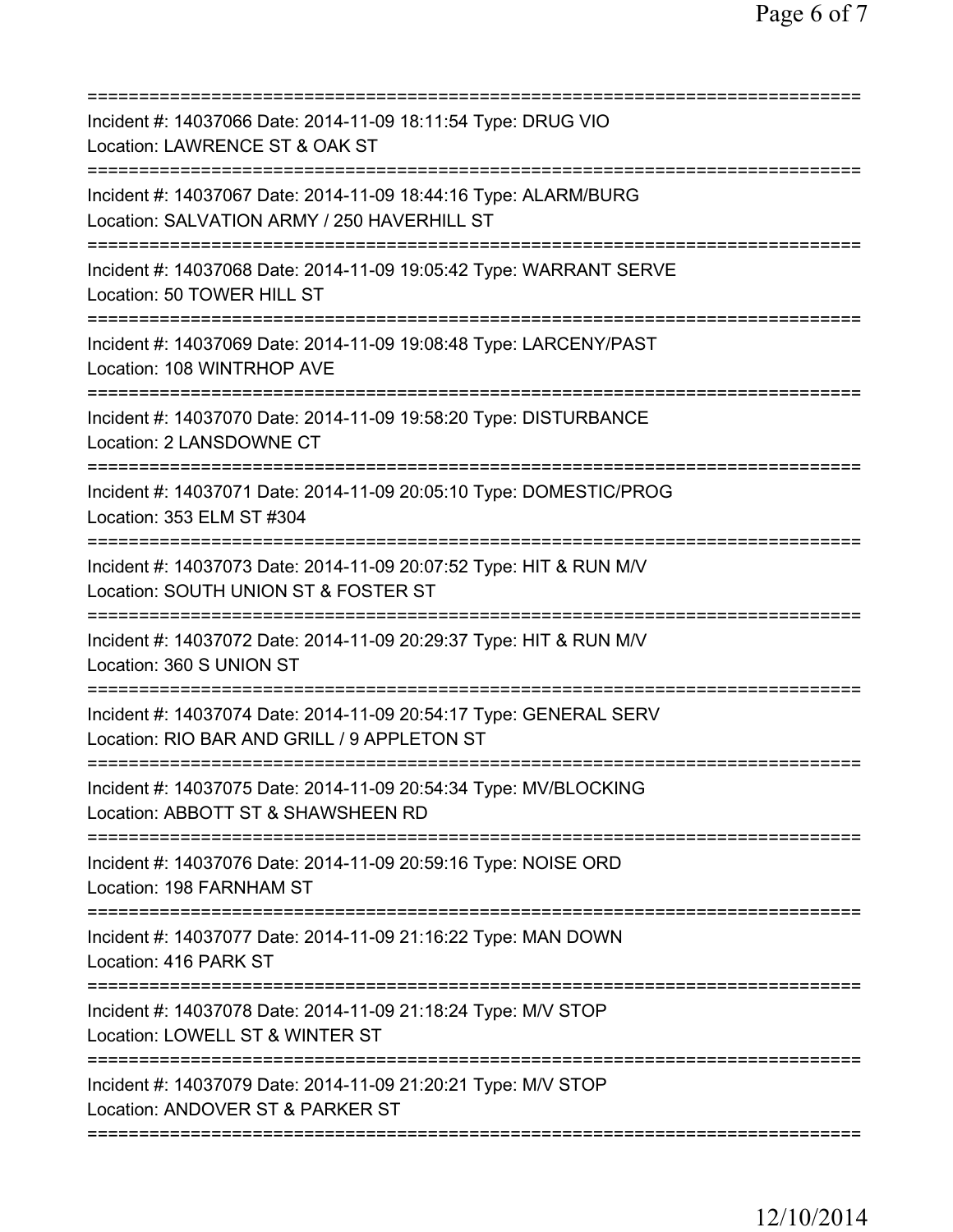| Incident #: 14037066 Date: 2014-11-09 18:11:54 Type: DRUG VIO<br>Location: LAWRENCE ST & OAK ST                                                         |
|---------------------------------------------------------------------------------------------------------------------------------------------------------|
| Incident #: 14037067 Date: 2014-11-09 18:44:16 Type: ALARM/BURG<br>Location: SALVATION ARMY / 250 HAVERHILL ST<br>===================================== |
| Incident #: 14037068 Date: 2014-11-09 19:05:42 Type: WARRANT SERVE<br>Location: 50 TOWER HILL ST                                                        |
| Incident #: 14037069 Date: 2014-11-09 19:08:48 Type: LARCENY/PAST<br>Location: 108 WINTRHOP AVE                                                         |
| Incident #: 14037070 Date: 2014-11-09 19:58:20 Type: DISTURBANCE<br>Location: 2 LANSDOWNE CT                                                            |
| Incident #: 14037071 Date: 2014-11-09 20:05:10 Type: DOMESTIC/PROG<br>Location: 353 ELM ST #304                                                         |
| Incident #: 14037073 Date: 2014-11-09 20:07:52 Type: HIT & RUN M/V<br>Location: SOUTH UNION ST & FOSTER ST<br>===============================           |
| Incident #: 14037072 Date: 2014-11-09 20:29:37 Type: HIT & RUN M/V<br>Location: 360 S UNION ST                                                          |
| Incident #: 14037074 Date: 2014-11-09 20:54:17 Type: GENERAL SERV<br>Location: RIO BAR AND GRILL / 9 APPLETON ST                                        |
| Incident #: 14037075 Date: 2014-11-09 20:54:34 Type: MV/BLOCKING<br>Location: ABBOTT ST & SHAWSHEEN RD                                                  |
| ================================<br>Incident #: 14037076 Date: 2014-11-09 20:59:16 Type: NOISE ORD<br>Location: 198 FARNHAM ST                          |
| Incident #: 14037077 Date: 2014-11-09 21:16:22 Type: MAN DOWN<br>Location: 416 PARK ST                                                                  |
| Incident #: 14037078 Date: 2014-11-09 21:18:24 Type: M/V STOP<br>Location: LOWELL ST & WINTER ST                                                        |
| Incident #: 14037079 Date: 2014-11-09 21:20:21 Type: M/V STOP<br>Location: ANDOVER ST & PARKER ST                                                       |
|                                                                                                                                                         |